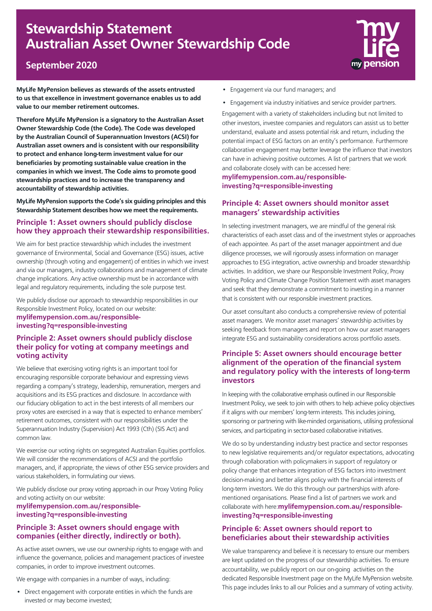# **Stewardship Statement Australian Asset Owner Stewardship Code**



## **September 2020**

**MyLife MyPension believes as stewards of the assets entrusted to us that excellence in investment governance enables us to add value to our member retirement outcomes.**

**Therefore MyLife MyPension is a signatory to the Australian Asset Owner Stewardship Code (the Code). The Code was developed by the Australian Council of Superannuation Investors (ACSI) for Australian asset owners and is consistent with our responsibility to protect and enhance long-term investment value for our beneficiaries by promoting sustainable value creation in the companies in which we invest. The Code aims to promote good stewardship practices and to increase the transparency and accountability of stewardship activities.**

**MyLife MyPension supports the Code's six guiding principles and this Stewardship Statement describes how we meet the requirements.**

#### **Principle 1: Asset owners should publicly disclose how they approach their stewardship responsibilities.**

We aim for best practice stewardship which includes the investment governance of Environmental, Social and Governance (ESG) issues, active ownership (through voting and engagement) of entities in which we invest and via our managers, industry collaborations and management of climate change implications. Any active ownership must be in accordance with legal and regulatory requirements, including the sole purpose test.

We publicly disclose our approach to stewardship responsibilities in our Responsible Investment Policy, located on our website: **[mylifemypension.com.au/responsible](mylifemypension.com.au/responsible-investing?q=responsible-investing)investing?q=responsible-investing**

#### **Principle 2: Asset owners should publicly disclose their policy for voting at company meetings and voting activity**

We believe that exercising voting rights is an important tool for encouraging responsible corporate behaviour and expressing views regarding a company's strategy, leadership, remuneration, mergers and acquisitions and its ESG practices and disclosure. In accordance with our fiduciary obligation to act in the best interests of all members our proxy votes are exercised in a way that is expected to enhance members' retirement outcomes, consistent with our responsibilities under the Superannuation Industry (Supervision) Act 1993 (Cth) (SIS Act) and common law.

We exercise our voting rights on segregated Australian Equities portfolios. We will consider the recommendations of ACSI and the portfolio managers, and, if appropriate, the views of other ESG service providers and various stakeholders, in formulating our views.

We publicly disclose our proxy voting approach in our Proxy Voting Policy and voting activity on our website:

#### **[mylifemypension.com.au/responsible](mylifemypension.com.au/responsible-investing?q=responsible-investing)investing?q=responsible-investing**

#### **Principle 3: Asset owners should engage with companies (either directly, indirectly or both).**

As active asset owners, we use our ownership rights to engage with and influence the governance, policies and management practices of investee companies, in order to improve investment outcomes.

We engage with companies in a number of ways, including:

• Direct engagement with corporate entities in which the funds are invested or may become invested;

- Engagement via our fund managers; and
- Engagement via industry initiatives and service provider partners.

Engagement with a variety of stakeholders including but not limited to other investors, investee companies and regulators can assist us to better understand, evaluate and assess potential risk and return, including the potential impact of ESG factors on an entity's performance. Furthermore collaborative engagement may better leverage the influence that investors can have in achieving positive outcomes. A list of partners that we work and collaborate closely with can be accessed here:

**[mylifemypension.com.au/responsible](mylifemypension.com.au/responsible-investing?q=responsible-investing)investing?q=responsible-investing**

#### **Principle 4: Asset owners should monitor asset managers' stewardship activities**

In selecting investment managers, we are mindful of the general risk characteristics of each asset class and of the investment styles or approaches of each appointee. As part of the asset manager appointment and due diligence processes, we will rigorously assess information on manager approaches to ESG integration, active ownership and broader stewardship activities. In addition, we share our Responsible Investment Policy, Proxy Voting Policy and Climate Change Position Statement with asset managers and seek that they demonstrate a commitment to investing in a manner that is consistent with our responsible investment practices.

Our asset consultant also conducts a comprehensive review of potential asset managers. We monitor asset managers' stewardship activities by seeking feedback from managers and report on how our asset managers integrate ESG and sustainability considerations across portfolio assets.

#### **Principle 5: Asset owners should encourage better alignment of the operation of the financial system and regulatory policy with the interests of long-term investors**

In keeping with the collaborative emphasis outlined in our Responsible Investment Policy, we seek to join with others to help achieve policy objectives if it aligns with our members' long-term interests. This includes joining, sponsoring or partnering with like-minded organisations, utilising professional services, and participating in sector-based collaborative initiatives.

We do so by understanding industry best practice and sector responses to new legislative requirements and/or regulator expectations, advocating through collaboration with policymakers in support of regulatory or policy change that enhances integration of ESG factors into investment decision-making and better aligns policy with the financial interests of long-term investors. We do this through our partnerships with aforementioned organisations. Please find a list of partners we work and collaborate with here:**[mylifemypension.com.au/responsible](mylifemypension.com.au/responsible-investing?q=responsible-investing)investing?q=responsible-investing**

### **Principle 6: Asset owners should report to beneficiaries about their stewardship activities**

We value transparency and believe it is necessary to ensure our members are kept updated on the progress of our stewardship activities. To ensure accountability, we publicly report on our on-going activities on the dedicated Responsible Investment page on the MyLife MyPension website. This page includes links to all our Policies and a summary of voting activity.